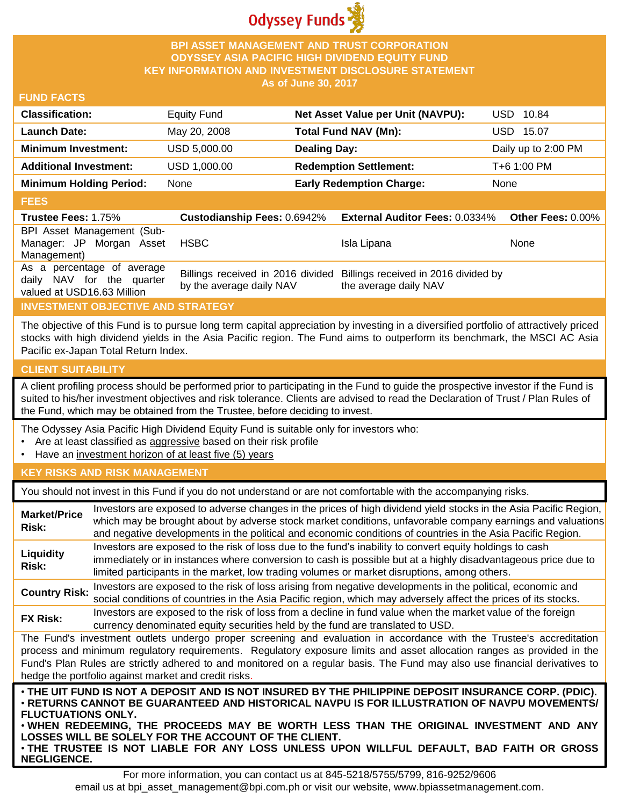

## **BPI ASSET MANAGEMENT AND TRUST CORPORATION ODYSSEY ASIA PACIFIC HIGH DIVIDEND EQUITY FUND KEY INFORMATION AND INVESTMENT DISCLOSURE STATEMENT As of June 30, 2017**

## **FUND FACTS**

| <b>Classification:</b>         | <b>Equity Fund</b> | Net Asset Value per Unit (NAVPU): | USD 10.84           |
|--------------------------------|--------------------|-----------------------------------|---------------------|
| <b>Launch Date:</b>            | May 20, 2008       | <b>Total Fund NAV (Mn):</b>       | USD 15.07           |
| <b>Minimum Investment:</b>     | USD 5,000.00       | <b>Dealing Day:</b>               | Daily up to 2:00 PM |
| <b>Additional Investment:</b>  | USD 1,000.00       | <b>Redemption Settlement:</b>     | T+6 1:00 PM         |
| <b>Minimum Holding Period:</b> | None               | <b>Early Redemption Charge:</b>   | <b>None</b>         |
|                                |                    |                                   |                     |

#### **FEES**

| ----                                                                                  |                          |                                                                                                 |                   |
|---------------------------------------------------------------------------------------|--------------------------|-------------------------------------------------------------------------------------------------|-------------------|
| <b>Trustee Fees: 1.75%</b>                                                            |                          | Custodianship Fees: 0.6942% External Auditor Fees: 0.0334%                                      | Other Fees: 0.00% |
| BPI Asset Management (Sub-<br>Manager: JP Morgan Asset<br>Management)                 | <b>HSBC</b>              | Isla Lipana                                                                                     | None              |
| As a percentage of average<br>daily NAV for the quarter<br>valued at USD16.63 Million | by the average daily NAV | Billings received in 2016 divided Billings received in 2016 divided by<br>the average daily NAV |                   |

# **INVESTMENT OBJECTIVE AND STRATEGY**

The objective of this Fund is to pursue long term capital appreciation by investing in a diversified portfolio of attractively priced stocks with high dividend yields in the Asia Pacific region. The Fund aims to outperform its benchmark, the MSCI AC Asia Pacific ex-Japan Total Return Index.

# **CLIENT SUITABILITY**

**NEGLIGENCE.**

A client profiling process should be performed prior to participating in the Fund to guide the prospective investor if the Fund is suited to his/her investment objectives and risk tolerance. Clients are advised to read the Declaration of Trust / Plan Rules of the Fund, which may be obtained from the Trustee, before deciding to invest.

The Odyssey Asia Pacific High Dividend Equity Fund is suitable only for investors who:

- Are at least classified as aggressive based on their risk profile
- Have an investment horizon of at least five (5) years

# **KEY RISKS AND RISK MANAGEMENT**

You should not invest in this Fund if you do not understand or are not comfortable with the accompanying risks.

| <b>Market/Price</b><br>Risk: | Investors are exposed to adverse changes in the prices of high dividend yield stocks in the Asia Pacific Region,<br>which may be brought about by adverse stock market conditions, unfavorable company earnings and valuations<br>and negative developments in the political and economic conditions of countries in the Asia Pacific Region.                                                                                                    |
|------------------------------|--------------------------------------------------------------------------------------------------------------------------------------------------------------------------------------------------------------------------------------------------------------------------------------------------------------------------------------------------------------------------------------------------------------------------------------------------|
| Liquidity<br>Risk:           | Investors are exposed to the risk of loss due to the fund's inability to convert equity holdings to cash<br>immediately or in instances where conversion to cash is possible but at a highly disadvantageous price due to<br>limited participants in the market, low trading volumes or market disruptions, among others.                                                                                                                        |
| <b>Country Risk:</b>         | Investors are exposed to the risk of loss arising from negative developments in the political, economic and<br>social conditions of countries in the Asia Pacific region, which may adversely affect the prices of its stocks.                                                                                                                                                                                                                   |
| <b>FX Risk:</b>              | Investors are exposed to the risk of loss from a decline in fund value when the market value of the foreign<br>currency denominated equity securities held by the fund are translated to USD.                                                                                                                                                                                                                                                    |
|                              | The Fund's investment outlets undergo proper screening and evaluation in accordance with the Trustee's accreditation<br>process and minimum regulatory requirements. Regulatory exposure limits and asset allocation ranges as provided in the<br>Fund's Plan Rules are strictly adhered to and monitored on a regular basis. The Fund may also use financial derivatives to<br>hedge the portfolio against market and credit risks.             |
| <b>FLUCTUATIONS ONLY.</b>    | . THE UIT FUND IS NOT A DEPOSIT AND IS NOT INSURED BY THE PHILIPPINE DEPOSIT INSURANCE CORP. (PDIC).<br>· RETURNS CANNOT BE GUARANTEED AND HISTORICAL NAVPU IS FOR ILLUSTRATION OF NAVPU MOVEMENTS/<br>. WHEN REDEEMING, THE PROCEEDS MAY BE WORTH LESS THAN THE ORIGINAL INVESTMENT AND ANY<br>LOSSES WILL BE SOLELY FOR THE ACCOUNT OF THE CLIENT.<br>. THE TRUSTEE IS NOT LIABLE FOR ANY LOSS UNLESS UPON WILLFUL DEFAULT, BAD FAITH OR GROSS |

For more information, you can contact us at 845-5218/5755/5799, 816-9252/9606 email us at bpi\_asset\_management@bpi.com.ph or visit our website, www.bpiassetmanagement.com.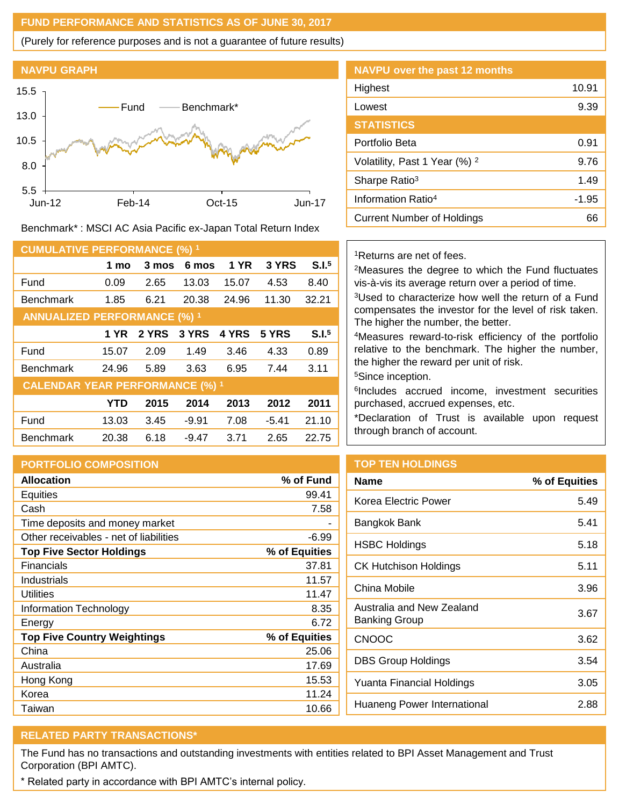## **FUND PERFORMANCE AND STATISTICS AS OF JUNE 30, 2017**

(Purely for reference purposes and is not a guarantee of future results)



Benchmark\* : MSCI AC Asia Pacific ex-Japan Total Return Index

| <b>CUMULATIVE PERFORMANCE (%) 1</b>    |            |       |         |             |         |                   |
|----------------------------------------|------------|-------|---------|-------------|---------|-------------------|
|                                        | 1 mo       | 3 mos | 6 mos   | <b>1 YR</b> | 3 YRS   | S.I. <sup>5</sup> |
| Fund                                   | 0.09       | 2.65  | 13.03   | 15.07       | 4.53    | 8.40              |
| <b>Benchmark</b>                       | 1.85       | 6.21  | 20.38   | 24.96       | 11.30   | 32.21             |
| <b>ANNUALIZED PERFORMANCE (%) 1</b>    |            |       |         |             |         |                   |
|                                        | 1 YR       | 2 YRS | 3 YRS   | 4 YRS       | 5 YRS   | S.I. <sup>5</sup> |
| Fund                                   | 15.07      | 2.09  | 1.49    | 3.46        | 4.33    | 0.89              |
| <b>Benchmark</b>                       | 24.96      | 5.89  | 3.63    | 6.95        | 7.44    | 3.11              |
| <b>CALENDAR YEAR PERFORMANCE (%) 1</b> |            |       |         |             |         |                   |
|                                        | <b>YTD</b> | 2015  | 2014    | 2013        | 2012    | 2011              |
| Fund                                   | 13.03      | 3.45  | $-9.91$ | 7.08        | $-5.41$ | 21.10             |
| <b>Benchmark</b>                       | 20.38      | 6.18  | $-9.47$ | 3.71        | 2.65    | 22.75             |

# **PORTFOLIO COMPOSITION**

| <b>Allocation</b>                      | % of Fund     |
|----------------------------------------|---------------|
| Equities                               | 99.41         |
| Cash                                   | 7.58          |
| Time deposits and money market         |               |
| Other receivables - net of liabilities | $-6.99$       |
| <b>Top Five Sector Holdings</b>        | % of Equities |
| <b>Financials</b>                      | 37.81         |
| Industrials                            | 11.57         |
| Utilities                              | 11.47         |
| Information Technology                 | 8.35          |
| Energy                                 | 6.72          |
| <b>Top Five Country Weightings</b>     | % of Equities |
| China                                  | 25.06         |
| Australia                              | 17.69         |
| Hong Kong                              | 15.53         |
| Korea                                  | 11.24         |
| Taiwan                                 | 10.66         |

| <b>NAVPU over the past 12 months</b>     |       |
|------------------------------------------|-------|
| Highest                                  | 10.91 |
| Lowest                                   | 9.39  |
| <b>STATISTICS</b>                        |       |
| Portfolio Beta                           | 0.91  |
| Volatility, Past 1 Year (%) <sup>2</sup> | 9.76  |
| Sharpe Ratio <sup>3</sup>                | 1.49  |
| Information Ratio <sup>4</sup>           | -1.95 |
| <b>Current Number of Holdings</b>        | 66    |

## <sup>1</sup>Returns are net of fees.

<sup>2</sup>Measures the degree to which the Fund fluctuates vis-à-vis its average return over a period of time.

<sup>3</sup>Used to characterize how well the return of a Fund compensates the investor for the level of risk taken. The higher the number, the better.

<sup>4</sup>Measures reward-to-risk efficiency of the portfolio relative to the benchmark. The higher the number, the higher the reward per unit of risk.

<sup>5</sup>Since inception.

6 Includes accrued income, investment securities purchased, accrued expenses, etc.

\*Declaration of Trust is available upon request through branch of account.

# **TOP TEN HOLDINGS**

| <b>Name</b>                                | % of Equities |
|--------------------------------------------|---------------|
| Korea Electric Power                       | 5.49          |
| Bangkok Bank                               | 5.41          |
| <b>HSBC Holdings</b>                       | 5.18          |
| CK Hutchison Holdings                      | 5.11          |
| China Mobile                               | 3.96          |
| Australia and New Zealand<br>Banking Group | 3.67          |
| <b>CNOOC</b>                               | 3.62          |
| DBS Group Holdings                         | 3.54          |
| Yuanta Financial Holdings                  | 3.05          |
| Huaneng Power International                | 2.88          |
|                                            |               |

# **RELATED PARTY TRANSACTIONS\***

The Fund has no transactions and outstanding investments with entities related to BPI Asset Management and Trust Corporation (BPI AMTC).

\* Related party in accordance with BPI AMTC's internal policy.